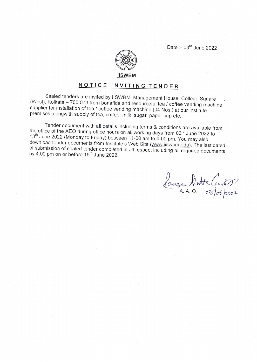Date :- 03<sup>rd</sup> June 2022



## NOTICE INVITING TENDER

Sealed tenders are invited by IISWBM, Management House, College Square (West), Kolkata - 700 073 from bonafide and resourceful tea / coffee vending machine supplier for installation of tea / coffee vending machine (04 Nos.

Tender document with all details including terms & conditions are available from<br>the office of the AEO during office hours on all working days from 03<sup>rd</sup> June 2022 to<br>13<sup>th</sup> June 2022 (Monday to Friday) between 11-00 am

bangan Dutta (eust)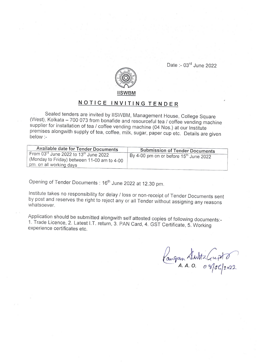

## NOTICE INVITING TENDER

Sealed tenders are invited by IISWBM, Management House, College Square (West), Kolkata - 700 073 from bonafide and resourceful tea / coffee vending machine supplier for installation of tea / coffee vending machine (04 Nos.

| Available date for Tender Documents<br>From 03rd June 2022 to 13th June 2022<br>(Monday to Friday) between 11-00 am to 4-00<br>pm. on all working days | <b>Submission of Tender Documents</b><br>By 4-00 pm on or before 15 <sup>th</sup> June 2022 |
|--------------------------------------------------------------------------------------------------------------------------------------------------------|---------------------------------------------------------------------------------------------|
|                                                                                                                                                        |                                                                                             |

Opening of Tender Documents: 16<sup>th</sup> June 2022 at 12.30 pm.

lnstitute takes no responsibility for delay / loss or non-receipt of Tender Documents sent by post and reserves the right to reject any or all Tender wiihout assigning any reasons whatsoever.

Application should be submitted alongwith self attested copies of following documents:-<br>1. Trade Licence, 2. Latest I.T. return, 3. PAN Card, 4. GST Certificate, 5. Working experience certificates etc.

Cangan Alwitz Gript 0  $A. A. O.$   $0. \sqrt[3]{0}C/2022$